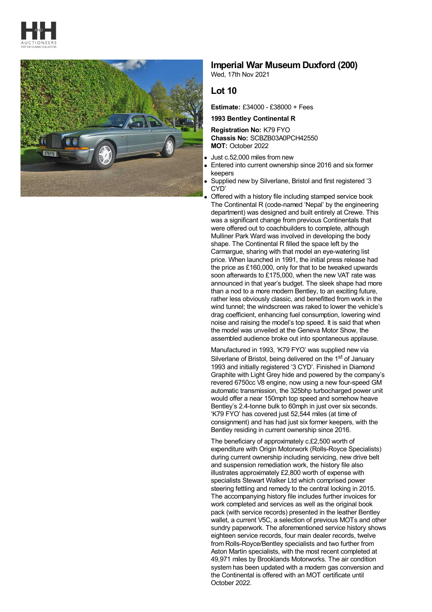



## **Imperial War Museum Duxford (200)**

Wed, 17th Nov 2021

## **Lot 10**

**Estimate:** £34000 - £38000 + Fees

**1993 Bentley Continental R**

**Registration No:** K79 FYO **Chassis No:** SCBZB03A0PCH42550 **MOT:** October 2022

- Just c.52,000 miles from new
- Entered into current ownership since 2016 and six former keepers
- Supplied new by Silverlane, Bristol and first registered '3 CYD'
- Offered with a history file including stamped service book The Continental R (code-named 'Nepal' by the engineering department) was designed and built entirely at Crewe. This was a significant change from previous Continentals that were offered out to coachbuilders to complete, although Mulliner Park Ward was involved in developing the body shape. The Continental R filled the space left by the Carmargue, sharing with that model an eye-watering list price. When launched in 1991, the initial press release had the price as £160,000, only for that to be tweaked upwards soon afterwards to £175,000, when the new VAT rate was announced in that year's budget. The sleek shape had more than a nod to a more modern Bentley, to an exciting future, rather less obviously classic, and benefitted from work in the wind tunnel; the windscreen was raked to lower the vehicle's drag coefficient, enhancing fuel consumption, lowering wind noise and raising the model's top speed. It is said that when the model was unveiled at the Geneva Motor Show, the assembled audience broke out into spontaneous applause.

Manufactured in 1993, 'K79 FYO' was supplied new via Silverlane of Bristol, being delivered on the 1<sup>st</sup> of January 1993 and initially registered '3 CYD'. Finished in Diamond Graphite with Light Grey hide and powered by the company's revered 6750cc V8 engine, now using a new four-speed GM automatic transmission, the 325bhp turbocharged power unit would offer a near 150mph top speed and somehow heave Bentley's 2.4-tonne bulk to 60mph in just over six seconds. 'K79 FYO' has covered just 52,544 miles (at time of consignment) and has had just six former keepers, with the Bentley residing in current ownership since 2016.

The beneficiary of approximately c.£2,500 worth of expenditure with Origin Motorwork (Rolls-Royce Specialists) during current ownership including servicing, new drive belt and suspension remediation work, the history file also illustrates approximately £2,800 worth of expense with specialists Stewart Walker Ltd which comprised power steering fettling and remedy to the central locking in 2015. The accompanying history file includes further invoices for work completed and services as well as the original book pack (with service records) presented in the leather Bentley wallet, a current V5C, a selection of previous MOTs and other sundry paperwork. The aforementioned service history shows eighteen service records, four main dealer records, twelve from Rolls-Royce/Bentley specialists and two further from Aston Martin specialists, with the most recent completed at 49,971 miles by Brooklands Motorworks. The air condition system has been updated with a modern gas conversion and the Continental is offered with an MOT certificate until October 2022.